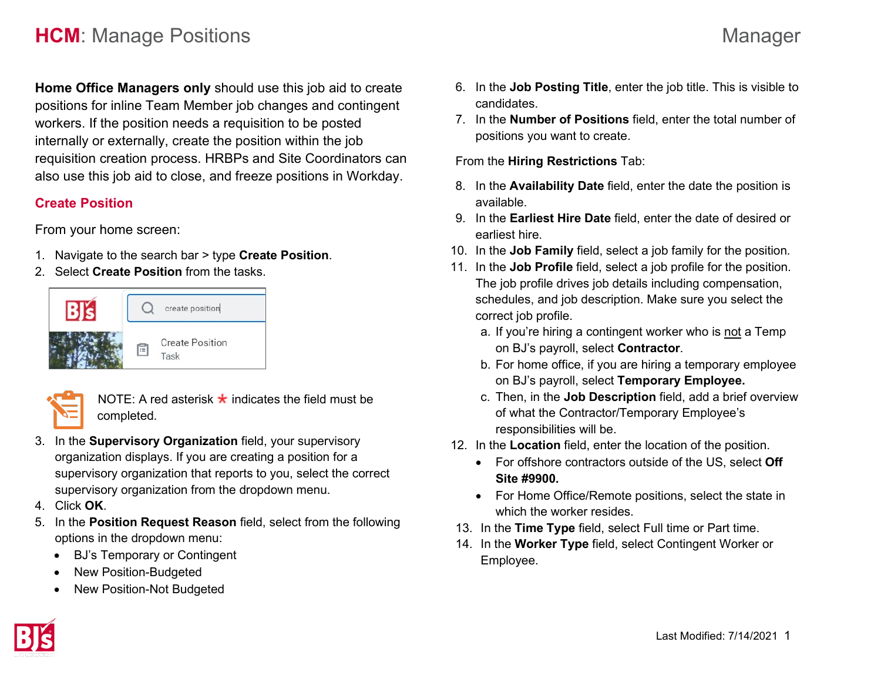## **HCM**: Manage Positions **Managers** Managers Managers Managers Managers Managers Managers Managers Managers Managers

**Home Office Managers only** should use this job aid to create positions for inline Team Member job changes and contingent workers. If the position needs a requisition to be posted internally or externally, create the position within the job requisition creation process. HRBPs and Site Coordinators can also use this job aid to close, and freeze positions in Workday.

#### **Create Position**

From your home screen:

- 1. Navigate to the search bar > type **Create Position**.
- 2. Select **Create Position** from the tasks.





NOTE: A red asterisk  $\star$  indicates the field must be completed.

- 3. In the **Supervisory Organization** field, your supervisory organization displays. If you are creating a position for a supervisory organization that reports to you, select the correct supervisory organization from the dropdown menu.
- 4. Click **OK**.
- 5. In the **Position Request Reason** field, select from the following options in the dropdown menu:
	- BJ's Temporary or Contingent
	- New Position-Budgeted
	- New Position-Not Budgeted



7. In the **Number of Positions** field, enter the total number of positions you want to create.

From the **Hiring Restrictions** Tab:

- 8. In the **Availability Date** field, enter the date the position is available.
- 9. In the **Earliest Hire Date** field, enter the date of desired or earliest hire.
- 10. In the **Job Family** field, select a job family for the position*.*
- 11. In the **Job Profile** field, select a job profile for the position. The job profile drives job details including compensation, schedules, and job description. Make sure you select the correct job profile.
	- a. If you're hiring a contingent worker who is not a Temp on BJ's payroll, select **Contractor**.
	- b. For home office, if you are hiring a temporary employee on BJ's payroll, select **Temporary Employee.**
	- c. Then, in the **Job Description** field, add a brief overview of what the Contractor/Temporary Employee's responsibilities will be.
- 12. In the **Location** field, enter the location of the position.
	- For offshore contractors outside of the US, select **Off Site #9900.**
	- For Home Office/Remote positions, select the state in which the worker resides.
- 13. In the **Time Type** field, select Full time or Part time.
- 14. In the **Worker Type** field, select Contingent Worker or Employee.